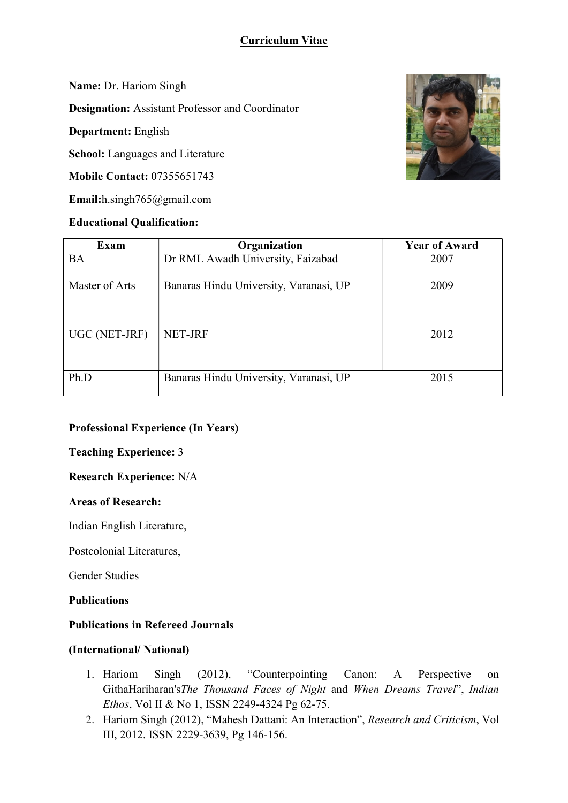# Curriculum Vitae

Name: Dr. Hariom Singh

Designation: Assistant Professor and Coordinator

Department: English

School: Languages and Literature

Mobile Contact: 07355651743

Email:h.singh765@gmail.com

## Educational Qualification:



| Exam           | Organization                           | <b>Year of Award</b> |
|----------------|----------------------------------------|----------------------|
| <b>BA</b>      | Dr RML Awadh University, Faizabad      | 2007                 |
| Master of Arts | Banaras Hindu University, Varanasi, UP | 2009                 |
| UGC (NET-JRF)  | NET-JRF                                | 2012                 |
| Ph.D           | Banaras Hindu University, Varanasi, UP | 2015                 |

### Professional Experience (In Years)

Teaching Experience: 3

Research Experience: N/A

### Areas of Research:

Indian English Literature,

Postcolonial Literatures,

Gender Studies

Publications

## Publications in Refereed Journals

#### (International/ National)

- 1. Hariom Singh (2012), "Counterpointing Canon: A Perspective on GithaHariharan'sThe Thousand Faces of Night and When Dreams Travel", Indian Ethos, Vol II & No 1, ISSN 2249-4324 Pg 62-75.
- 2. Hariom Singh (2012), "Mahesh Dattani: An Interaction", Research and Criticism, Vol III, 2012. ISSN 2229-3639, Pg 146-156.